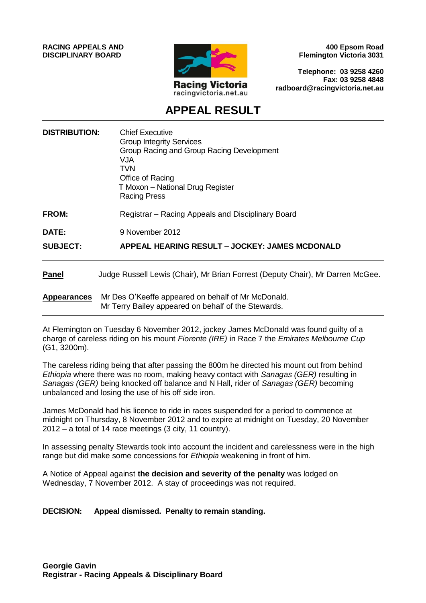**RACING APPEALS AND DISCIPLINARY BOARD**



**400 Epsom Road Flemington Victoria 3031**

**Telephone: 03 9258 4260 Fax: 03 9258 4848 radboard@racingvictoria.net.au**

## **APPEAL RESULT**

| <b>DISTRIBUTION:</b> | <b>Chief Executive</b><br><b>Group Integrity Services</b><br>Group Racing and Group Racing Development<br>VJA<br>TVN<br>Office of Racing<br>T Moxon - National Drug Register<br><b>Racing Press</b> |
|----------------------|-----------------------------------------------------------------------------------------------------------------------------------------------------------------------------------------------------|
| <b>FROM:</b>         | Registrar – Racing Appeals and Disciplinary Board                                                                                                                                                   |
| DATE:                | 9 November 2012                                                                                                                                                                                     |
| <b>SUBJECT:</b>      | APPEAL HEARING RESULT - JOCKEY: JAMES MCDONALD                                                                                                                                                      |
| <b>Panel</b>         | Judge Russell Lewis (Chair), Mr Brian Forrest (Deputy Chair), Mr Darren McGee.                                                                                                                      |
| <b>Appearances</b>   | Mr Des O'Keeffe appeared on behalf of Mr McDonald.<br>Mr Terry Bailey appeared on behalf of the Stewards.                                                                                           |

At Flemington on Tuesday 6 November 2012, jockey James McDonald was found guilty of a charge of careless riding on his mount *Fiorente (IRE)* in Race 7 the *Emirates Melbourne Cup* (G1, 3200m).

The careless riding being that after passing the 800m he directed his mount out from behind *Ethiopia* where there was no room, making heavy contact with *Sanagas (GER)* resulting in *Sanagas (GER)* being knocked off balance and N Hall, rider of *Sanagas (GER)* becoming unbalanced and losing the use of his off side iron.

James McDonald had his licence to ride in races suspended for a period to commence at midnight on Thursday, 8 November 2012 and to expire at midnight on Tuesday, 20 November 2012 – a total of 14 race meetings (3 city, 11 country).

In assessing penalty Stewards took into account the incident and carelessness were in the high range but did make some concessions for *Ethiopia* weakening in front of him.

A Notice of Appeal against **the decision and severity of the penalty** was lodged on Wednesday, 7 November 2012. A stay of proceedings was not required.

**DECISION: Appeal dismissed. Penalty to remain standing.**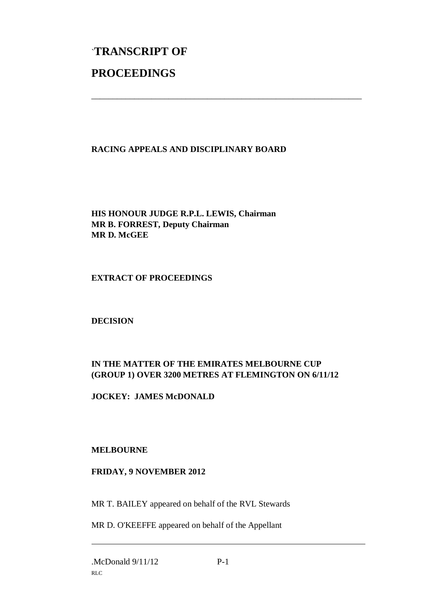# `**TRANSCRIPT OF PROCEEDINGS**

#### **RACING APPEALS AND DISCIPLINARY BOARD**

\_\_\_\_\_\_\_\_\_\_\_\_\_\_\_\_\_\_\_\_\_\_\_\_\_\_\_\_\_\_\_\_\_\_\_\_\_\_\_\_\_\_\_\_\_\_\_\_\_\_\_\_\_\_\_\_\_\_\_\_\_\_\_

**HIS HONOUR JUDGE R.P.L. LEWIS, Chairman MR B. FORREST, Deputy Chairman MR D. McGEE**

#### **EXTRACT OF PROCEEDINGS**

**DECISION**

### **IN THE MATTER OF THE EMIRATES MELBOURNE CUP (GROUP 1) OVER 3200 METRES AT FLEMINGTON ON 6/11/12**

**JOCKEY: JAMES McDONALD**

#### **MELBOURNE**

#### **FRIDAY, 9 NOVEMBER 2012**

MR T. BAILEY appeared on behalf of the RVL Stewards

MR D. O'KEEFFE appeared on behalf of the Appellant